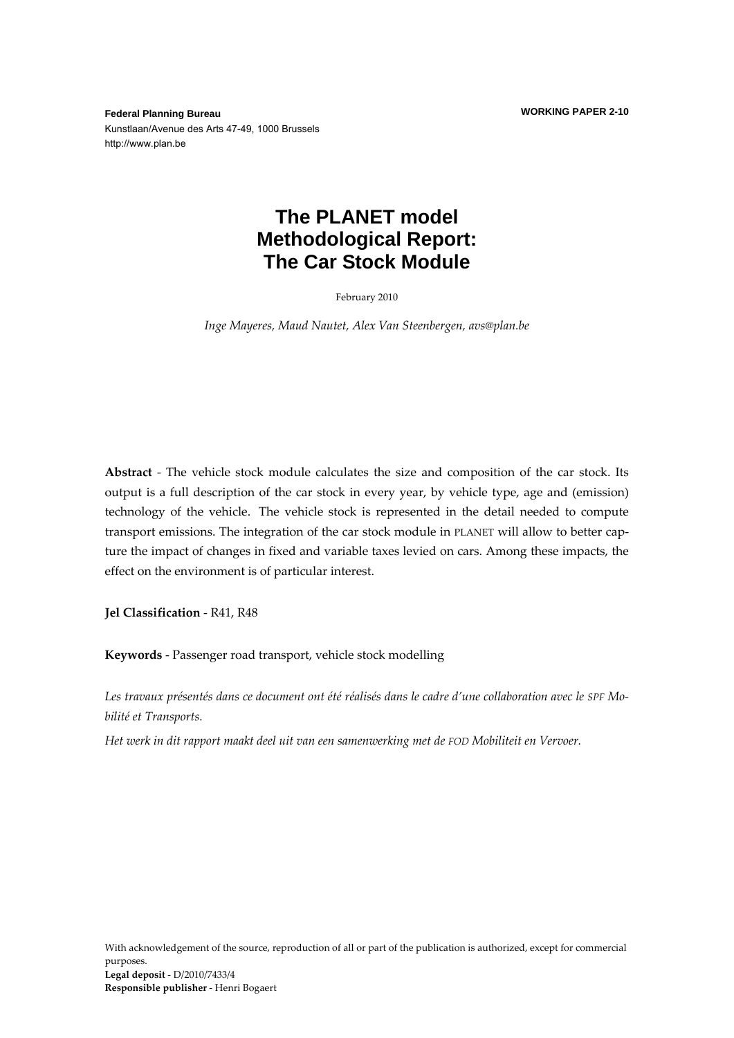**WORKING PAPER 2-10**

**Federal Planning Bureau**  Kunstlaan/Avenue des Arts 47-49, 1000 Brussels http://www.plan.be

## **The PLANET model Methodological Report: The Car Stock Module**

February 2010

*Inge Mayeres, Maud Nautet, Alex Van Steenbergen, avs@plan.be*

**Abstract** ‐ The vehicle stock module calculates the size and composition of the car stock. Its output is a full description of the car stock in every year, by vehicle type, age and (emission) technology of the vehicle. The vehicle stock is represented in the detail needed to compute transport emissions. The integration of the car stock module in PLANET will allow to better cap‐ ture the impact of changes in fixed and variable taxes levied on cars. Among these impacts, the effect on the environment is of particular interest.

**Jel Classification** ‐ R41, R48

**Keywords** ‐ Passenger road transport, vehicle stock modelling

Les travaux présentés dans ce document ont été réalisés dans le cadre d'une collaboration avec le SPF Mo*bilité et Transports.*

*Het werk in dit rapport maakt deel uit van een samenwerking met de FOD Mobiliteit en Vervoer.*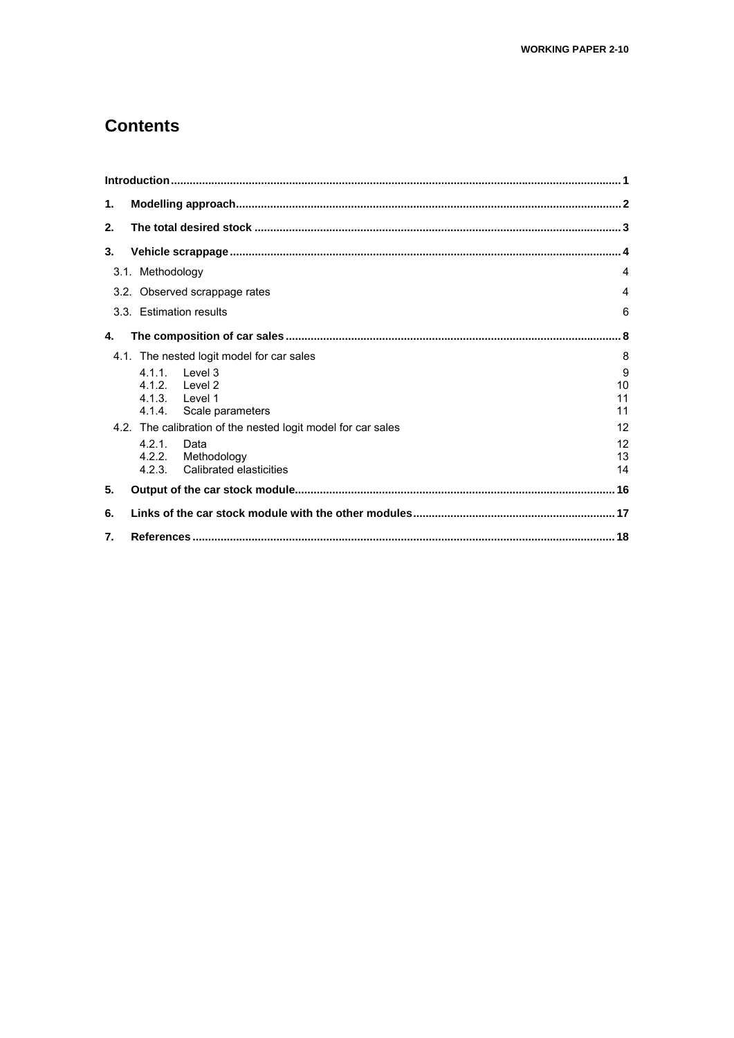### **Contents**

| 1.               |                                                                              |                     |
|------------------|------------------------------------------------------------------------------|---------------------|
| 2.               |                                                                              |                     |
| 3.               |                                                                              |                     |
|                  | 3.1. Methodology                                                             | 4                   |
|                  | 3.2. Observed scrappage rates                                                | 4                   |
|                  | 3.3. Estimation results                                                      | 6                   |
| 4.               |                                                                              |                     |
|                  | 4.1. The nested logit model for car sales                                    | 8                   |
|                  | 4.1.1 level 3<br>4.1.2. Level 2<br>4.1.3. Level 1<br>4.1.4. Scale parameters | 9<br>10<br>11<br>11 |
|                  | 4.2. The calibration of the nested logit model for car sales                 | 12                  |
|                  | 4.2.1.<br>Data<br>4.2.2. Methodology<br>4.2.3. Calibrated elasticities       | 12<br>13<br>14      |
| 5.               |                                                                              |                     |
| 6.               |                                                                              |                     |
| $\overline{7}$ . |                                                                              |                     |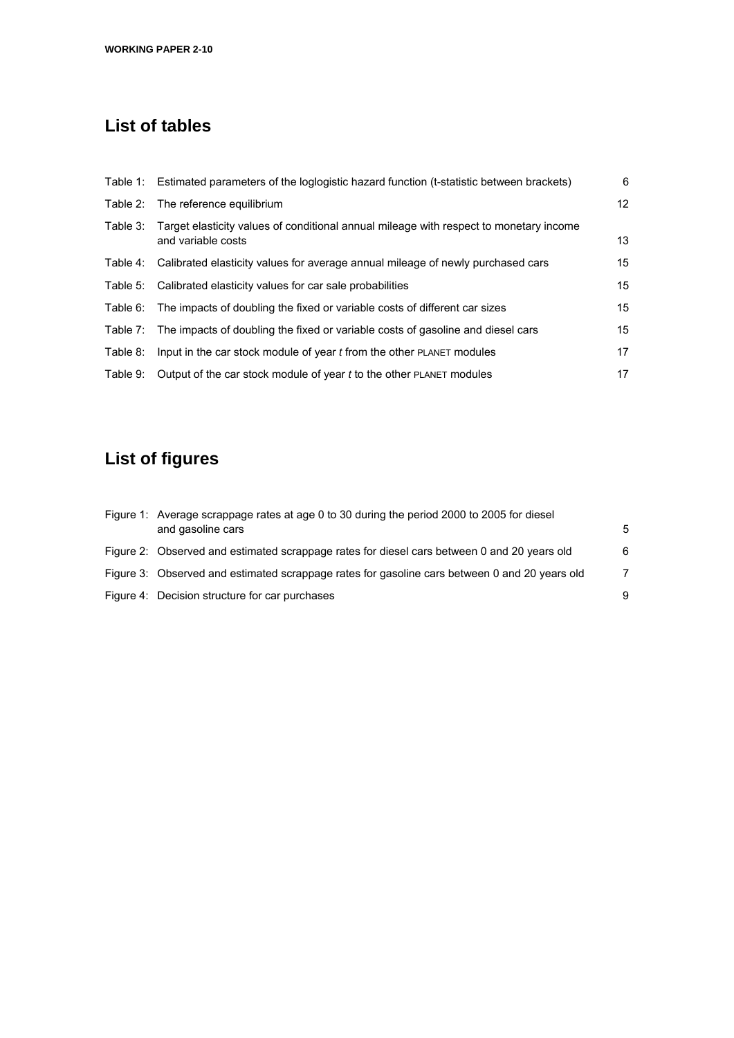# **List of tables**

|          | Table 1: Estimated parameters of the loglogistic hazard function (t-statistic between brackets)                       | 6               |
|----------|-----------------------------------------------------------------------------------------------------------------------|-----------------|
|          | Table 2: The reference equilibrium                                                                                    | 12 <sup>2</sup> |
|          | Table 3: Target elasticity values of conditional annual mileage with respect to monetary income<br>and variable costs | 13              |
|          | Table 4: Calibrated elasticity values for average annual mileage of newly purchased cars                              | 15              |
|          | Table 5: Calibrated elasticity values for car sale probabilities                                                      | 15              |
|          | Table 6: The impacts of doubling the fixed or variable costs of different car sizes                                   | 15              |
|          | Table 7: The impacts of doubling the fixed or variable costs of gasoline and diesel cars                              | 15              |
| Table 8: | Input in the car stock module of year t from the other PLANET modules                                                 | 17              |
| Table 9: | Output of the car stock module of year t to the other PLANET modules                                                  | 17              |

# **List of figures**

| Figure 1: Average scrappage rates at age 0 to 30 during the period 2000 to 2005 for diesel<br>and gasoline cars | 5 |
|-----------------------------------------------------------------------------------------------------------------|---|
| Figure 2: Observed and estimated scrappage rates for diesel cars between 0 and 20 years old                     | 6 |
| Figure 3: Observed and estimated scrappage rates for gasoline cars between 0 and 20 years old                   | 7 |
| Figure 4: Decision structure for car purchases                                                                  | 9 |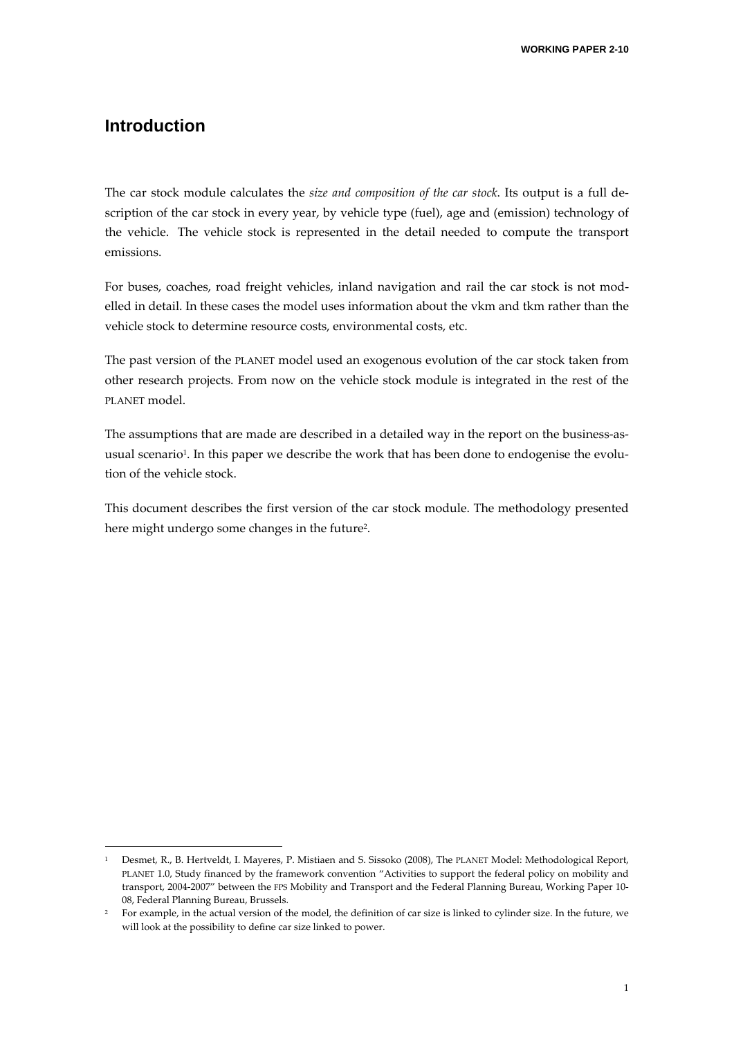### **Introduction**

The car stock module calculates the *size and composition of the car stock*. Its output is a full de‐ scription of the car stock in every year, by vehicle type (fuel), age and (emission) technology of the vehicle. The vehicle stock is represented in the detail needed to compute the transport emissions.

For buses, coaches, road freight vehicles, inland navigation and rail the car stock is not modelled in detail. In these cases the model uses information about the vkm and tkm rather than the vehicle stock to determine resource costs, environmental costs, etc.

The past version of the PLANET model used an exogenous evolution of the car stock taken from other research projects. From now on the vehicle stock module is integrated in the rest of the PLANET model.

The assumptions that are made are described in a detailed way in the report on the business-asusual scenario<sup>1</sup>. In this paper we describe the work that has been done to endogenise the evolution of the vehicle stock.

This document describes the first version of the car stock module. The methodology presented here might undergo some changes in the future2.

<u> Andrew Maria (1995)</u>

<sup>1</sup> Desmet, R., B. Hertveldt, I. Mayeres, P. Mistiaen and S. Sissoko (2008), The PLANET Model: Methodological Report, PLANET 1.0, Study financed by the framework convention "Activities to support the federal policy on mobility and transport, 2004-2007" between the FPS Mobility and Transport and the Federal Planning Bureau, Working Paper 10-08, Federal Planning Bureau, Brussels.

<sup>&</sup>lt;sup>2</sup> For example, in the actual version of the model, the definition of car size is linked to cylinder size. In the future, we will look at the possibility to define car size linked to power.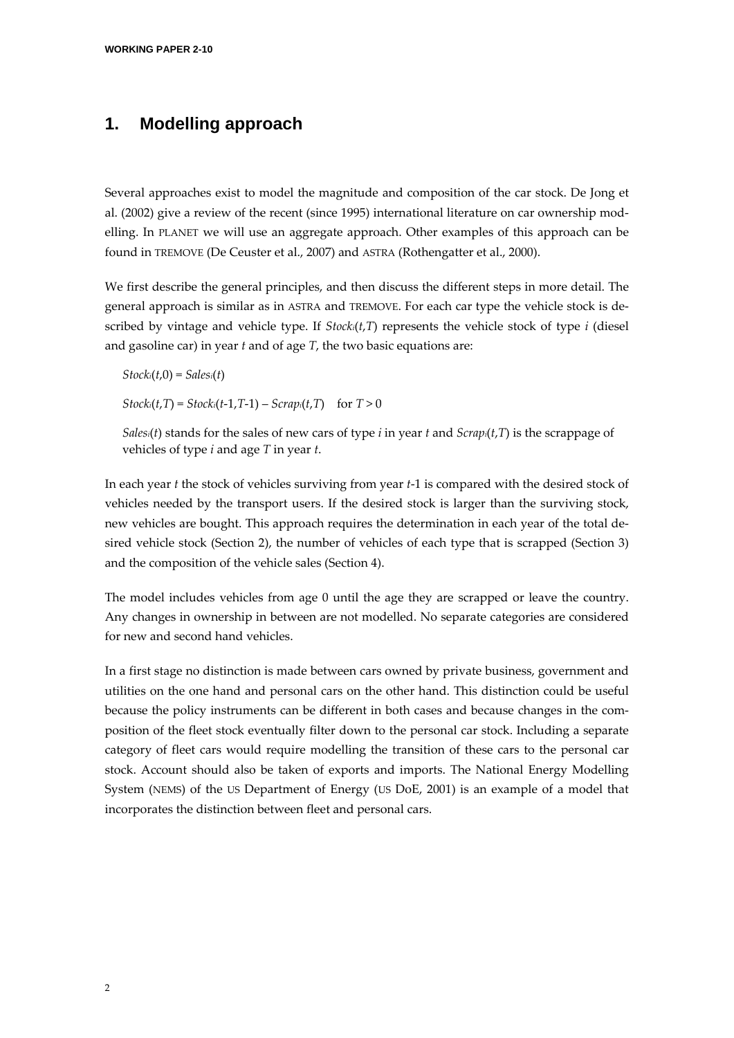### **1. Modelling approach**

Several approaches exist to model the magnitude and composition of the car stock. De Jong et al. (2002) give a review of the recent (since 1995) international literature on car ownership mod‐ elling. In PLANET we will use an aggregate approach. Other examples of this approach can be found in TREMOVE (De Ceuster et al., 2007) and ASTRA (Rothengatter et al., 2000).

We first describe the general principles, and then discuss the different steps in more detail. The general approach is similar as in ASTRA and TREMOVE. For each car type the vehicle stock is de‐ scribed by vintage and vehicle type. If *Stocki*(*t*,*T*) represents the vehicle stock of type *i* (diesel and gasoline car) in year *t* and of age *T*, the two basic equations are:

 $Stock<sub>i</sub>(t,0) = Sales<sub>i</sub>(t)$  $Stock_i(t, T) = Stock_i(t-1, T-1) - Scrap_i(t, T)$  for  $T > 0$ 

*Salesi(t)* stands for the sales of new cars of type *i* in year *t* and *Scrapi(t,T)* is the scrappage of vehicles of type *i* and age *T* in year *t*.

In each year *t* the stock of vehicles surviving from year *t*‐1 is compared with the desired stock of vehicles needed by the transport users. If the desired stock is larger than the surviving stock, new vehicles are bought. This approach requires the determination in each year of the total de‐ sired vehicle stock (Section 2), the number of vehicles of each type that is scrapped (Section 3) and the composition of the vehicle sales (Section 4).

The model includes vehicles from age 0 until the age they are scrapped or leave the country. Any changes in ownership in between are not modelled. No separate categories are considered for new and second hand vehicles.

In a first stage no distinction is made between cars owned by private business, government and utilities on the one hand and personal cars on the other hand. This distinction could be useful because the policy instruments can be different in both cases and because changes in the composition of the fleet stock eventually filter down to the personal car stock. Including a separate category of fleet cars would require modelling the transition of these cars to the personal car stock. Account should also be taken of exports and imports. The National Energy Modelling System (NEMS) of the US Department of Energy (US DoE, 2001) is an example of a model that incorporates the distinction between fleet and personal cars.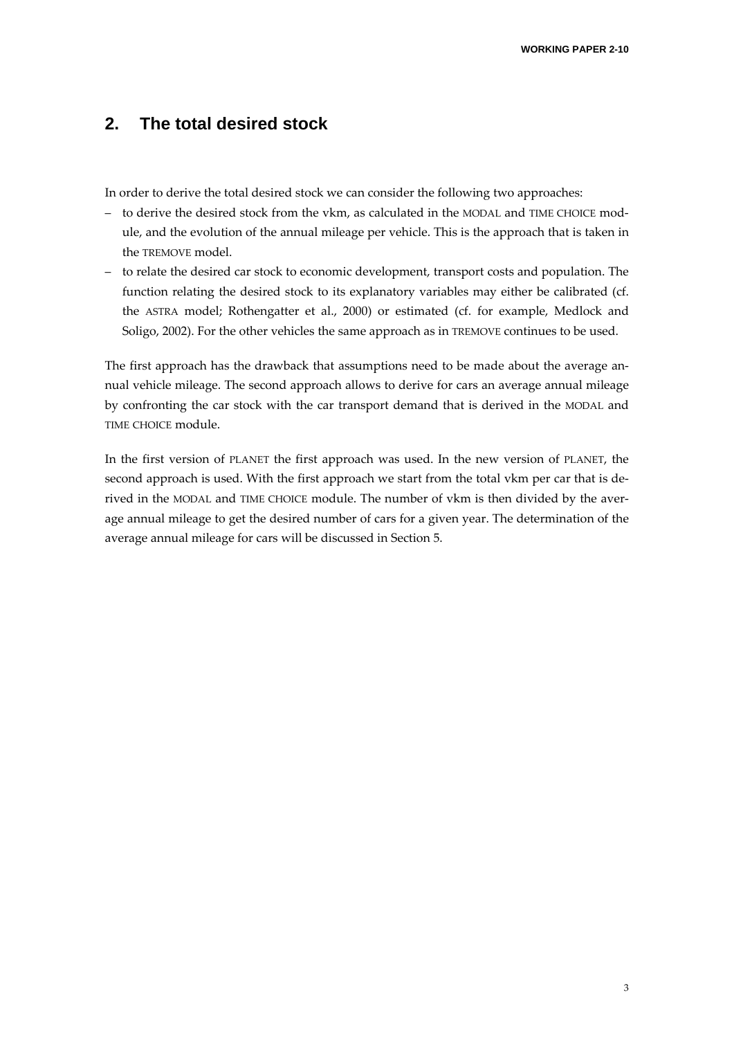### **2. The total desired stock**

In order to derive the total desired stock we can consider the following two approaches:

- to derive the desired stock from the vkm, as calculated in the MODAL and TIME CHOICE mod‐ ule, and the evolution of the annual mileage per vehicle. This is the approach that is taken in the TREMOVE model.
- to relate the desired car stock to economic development, transport costs and population. The function relating the desired stock to its explanatory variables may either be calibrated (cf. the ASTRA model; Rothengatter et al., 2000) or estimated (cf. for example, Medlock and Soligo, 2002). For the other vehicles the same approach as in TREMOVE continues to be used.

The first approach has the drawback that assumptions need to be made about the average an‐ nual vehicle mileage. The second approach allows to derive for cars an average annual mileage by confronting the car stock with the car transport demand that is derived in the MODAL and TIME CHOICE module.

In the first version of PLANET the first approach was used. In the new version of PLANET, the second approach is used. With the first approach we start from the total vkm per car that is derived in the MODAL and TIME CHOICE module. The number of vkm is then divided by the average annual mileage to get the desired number of cars for a given year. The determination of the average annual mileage for cars will be discussed in Section 5.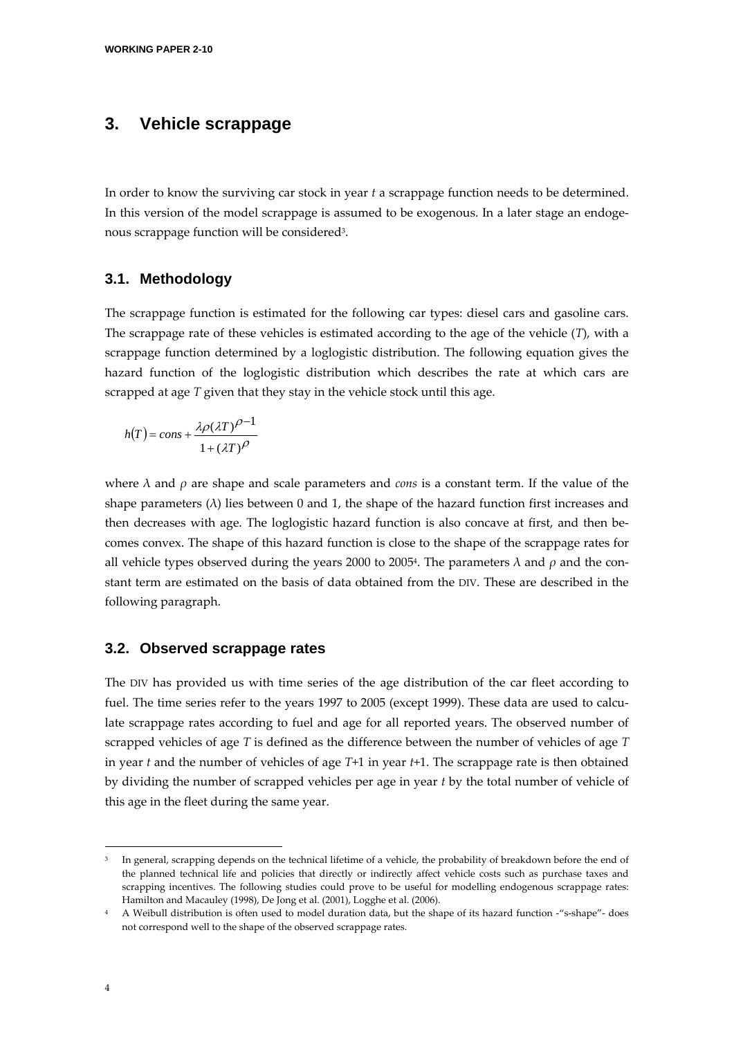### **3. Vehicle scrappage**

In order to know the surviving car stock in year *t* a scrappage function needs to be determined. In this version of the model scrappage is assumed to be exogenous. In a later stage an endogenous scrappage function will be considered3.

#### **3.1. Methodology**

The scrappage function is estimated for the following car types: diesel cars and gasoline cars. The scrappage rate of these vehicles is estimated according to the age of the vehicle (*T*), with a scrappage function determined by a loglogistic distribution. The following equation gives the hazard function of the loglogistic distribution which describes the rate at which cars are scrapped at age *T* given that they stay in the vehicle stock until this age.

$$
h(T) = const + \frac{\lambda \rho (\lambda T)^{\rho - 1}}{1 + (\lambda T)^{\rho}}
$$

where  $\lambda$  and  $\rho$  are shape and scale parameters and *cons* is a constant term. If the value of the shape parameters  $(\lambda)$  lies between 0 and 1, the shape of the hazard function first increases and then decreases with age. The loglogistic hazard function is also concave at first, and then be‐ comes convex. The shape of this hazard function is close to the shape of the scrappage rates for all vehicle types observed during the years 2000 to 2005<sup>4</sup>. The parameters  $\lambda$  and  $\rho$  and the constant term are estimated on the basis of data obtained from the DIV. These are described in the following paragraph.

#### **3.2. Observed scrappage rates**

<u> Andrew Maria (1995)</u>

The DIV has provided us with time series of the age distribution of the car fleet according to fuel. The time series refer to the years 1997 to 2005 (except 1999). These data are used to calculate scrappage rates according to fuel and age for all reported years. The observed number of scrapped vehicles of age *T* is defined as the difference between the number of vehicles of age *T* in year *t* and the number of vehicles of age *T*+1 in year *t*+1. The scrappage rate is then obtained by dividing the number of scrapped vehicles per age in year *t* by the total number of vehicle of this age in the fleet during the same year.

<sup>&</sup>lt;sup>3</sup> In general, scrapping depends on the technical lifetime of a vehicle, the probability of breakdown before the end of the planned technical life and policies that directly or indirectly affect vehicle costs such as purchase taxes and scrapping incentives. The following studies could prove to be useful for modelling endogenous scrappage rates: Hamilton and Macauley (1998), De Jong et al. (2001), Logghe et al. (2006).

<sup>4</sup> A Weibull distribution is often used to model duration data, but the shape of its hazard function -"s-shape"- does not correspond well to the shape of the observed scrappage rates.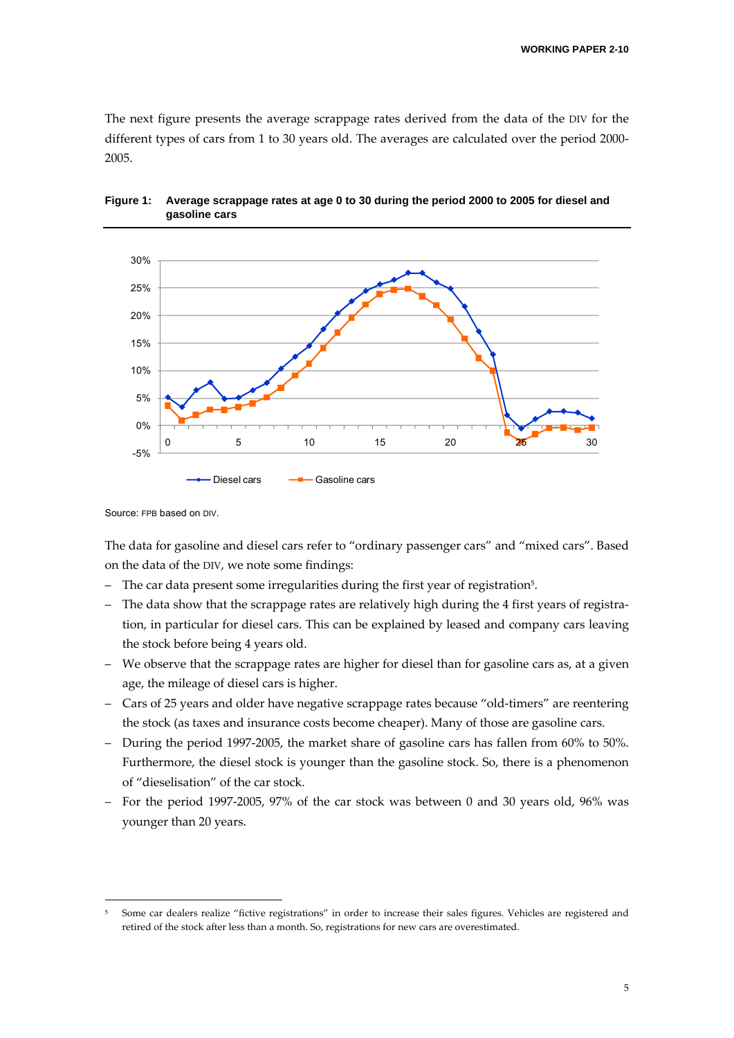The next figure presents the average scrappage rates derived from the data of the DIV for the different types of cars from 1 to 30 years old. The averages are calculated over the period 2000-2005.



#### **Figure 1: Average scrappage rates at age 0 to 30 during the period 2000 to 2005 for diesel and gasoline cars**

The data for gasoline and diesel cars refer to "ordinary passenger cars" and "mixed cars". Based on the data of the DIV, we note some findings:

- The car data present some irregularities during the first year of registration<sup>5</sup>.
- The data show that the scrappage rates are relatively high during the 4 first years of registration, in particular for diesel cars. This can be explained by leased and company cars leaving the stock before being 4 years old.
- We observe that the scrappage rates are higher for diesel than for gasoline cars as, at a given age, the mileage of diesel cars is higher.
- Cars of 25 years and older have negative scrappage rates because "old‐timers" are reentering the stock (as taxes and insurance costs become cheaper). Many of those are gasoline cars.
- During the period 1997‐2005, the market share of gasoline cars has fallen from 60% to 50%. Furthermore, the diesel stock is younger than the gasoline stock. So, there is a phenomenon of "dieselisation" of the car stock.
- For the period 1997‐2005, 97% of the car stock was between 0 and 30 years old, 96% was younger than 20 years.

Source: FPB based on DIV.

<sup>5</sup> Some car dealers realize "fictive registrations" in order to increase their sales figures. Vehicles are registered and retired of the stock after less than a month. So, registrations for new cars are overestimated.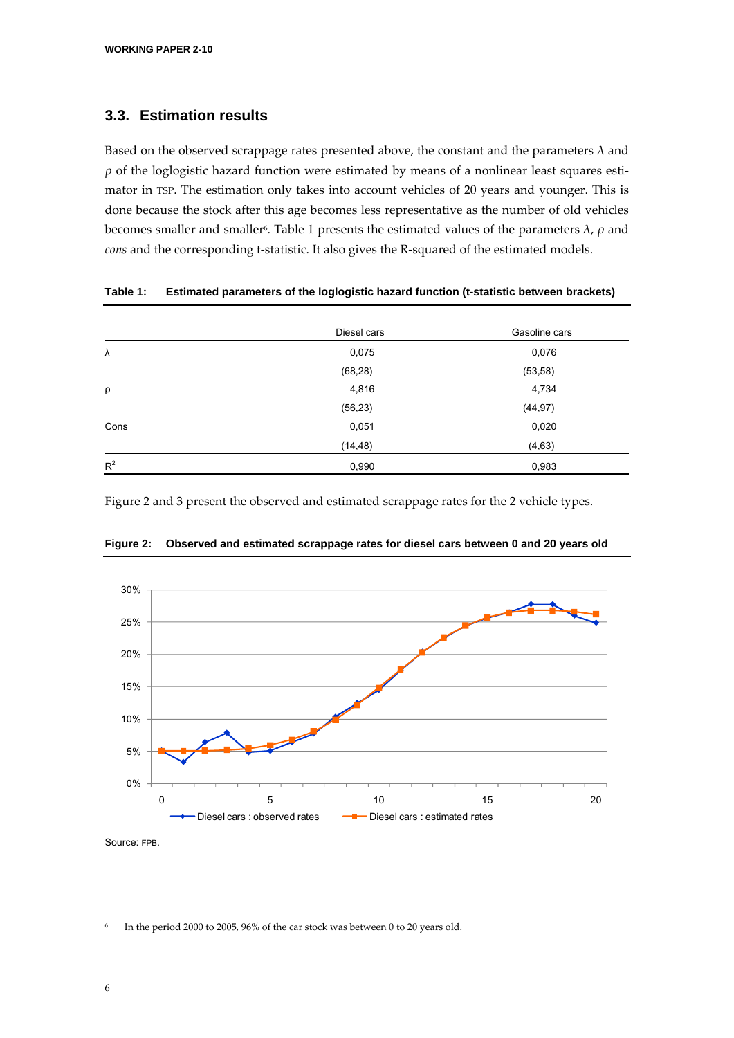### **3.3. Estimation results**

Based on the observed scrappage rates presented above, the constant and the parameters  $\lambda$  and  $\rho$  of the loglogistic hazard function were estimated by means of a nonlinear least squares estimator in TSP. The estimation only takes into account vehicles of 20 years and younger. This is done because the stock after this age becomes less representative as the number of old vehicles becomes smaller and smaller<sup>6</sup>. Table 1 presents the estimated values of the parameters  $\lambda$ ,  $\rho$  and cons and the corresponding t-statistic. It also gives the R-squared of the estimated models.

|        | Diesel cars | Gasoline cars |
|--------|-------------|---------------|
| λ      | 0,075       | 0,076         |
|        | (68, 28)    | (53, 58)      |
| $\rho$ | 4,816       | 4,734         |
|        | (56, 23)    | (44, 97)      |
| Cons   | 0,051       | 0,020         |
|        | (14, 48)    | (4, 63)       |
| $R^2$  | 0,990       | 0,983         |

|  |  |  |  |  | Table 1: Estimated parameters of the loglogistic hazard function (t-statistic between brackets) |  |
|--|--|--|--|--|-------------------------------------------------------------------------------------------------|--|
|--|--|--|--|--|-------------------------------------------------------------------------------------------------|--|

Figure 2 and 3 present the observed and estimated scrappage rates for the 2 vehicle types.



**Figure 2: Observed and estimated scrappage rates for diesel cars between 0 and 20 years old** 

<u> Andrew Maria (1995)</u>

In the period 2000 to 2005, 96% of the car stock was between 0 to 20 years old.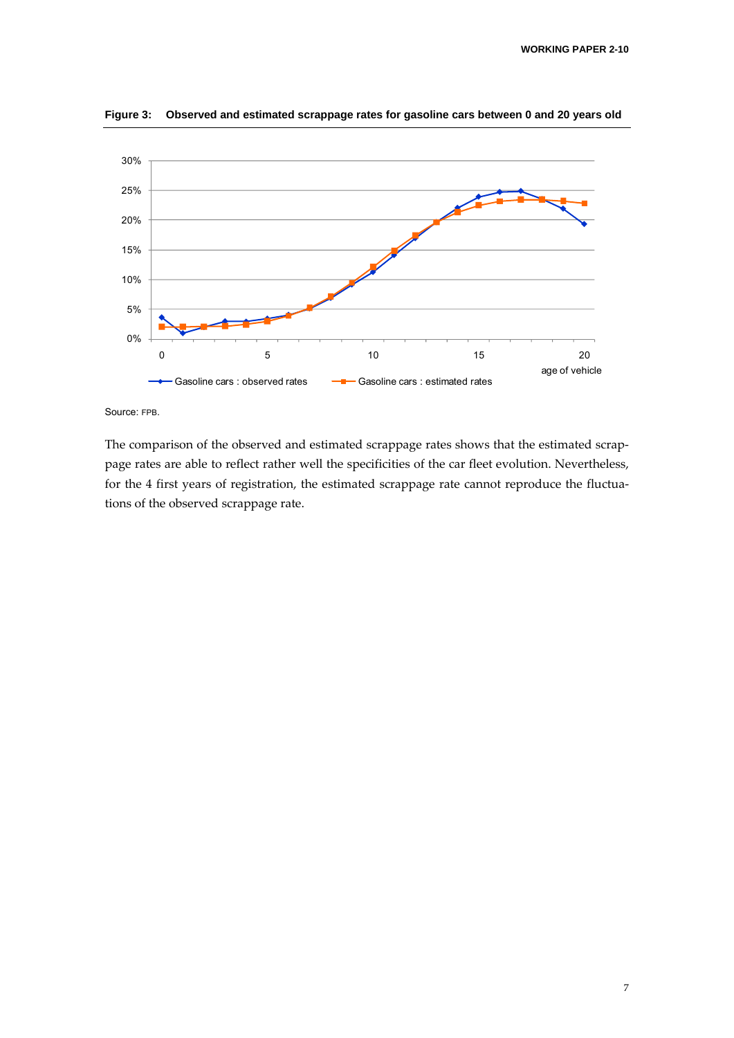

**Figure 3: Observed and estimated scrappage rates for gasoline cars between 0 and 20 years old** 

Source: FPB.

The comparison of the observed and estimated scrappage rates shows that the estimated scrappage rates are able to reflect rather well the specificities of the car fleet evolution. Nevertheless, for the 4 first years of registration, the estimated scrappage rate cannot reproduce the fluctuations of the observed scrappage rate.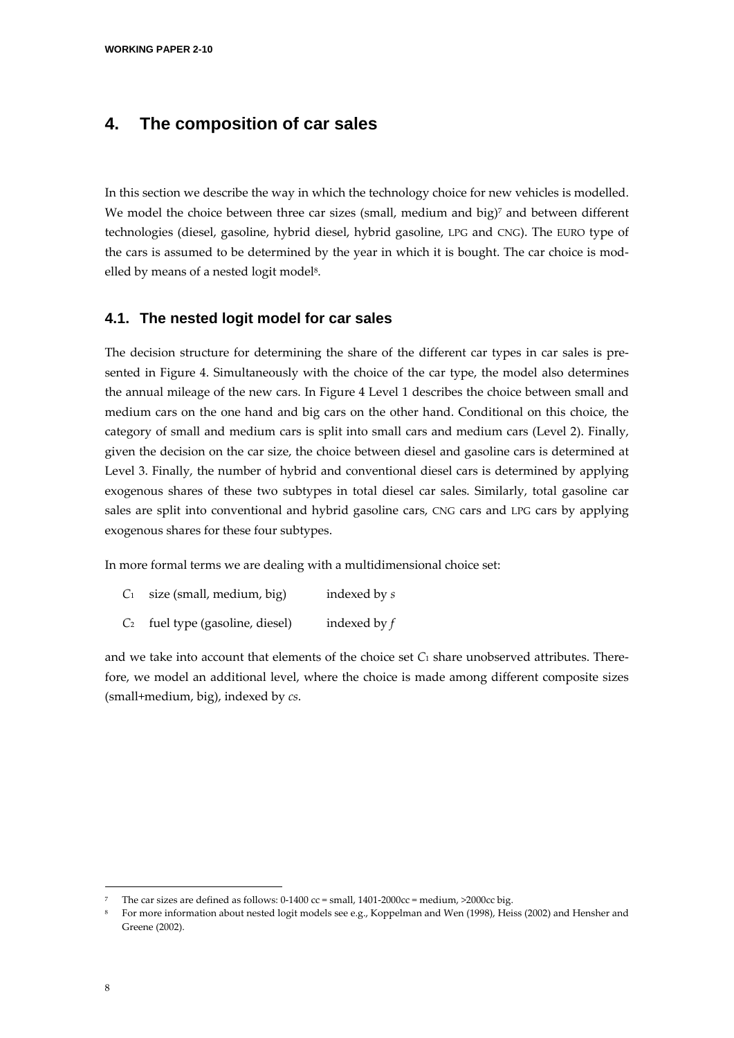### **4. The composition of car sales**

In this section we describe the way in which the technology choice for new vehicles is modelled. We model the choice between three car sizes (small, medium and big)<sup>7</sup> and between different technologies (diesel, gasoline, hybrid diesel, hybrid gasoline, LPG and CNG). The EURO type of the cars is assumed to be determined by the year in which it is bought. The car choice is mod‐ elled by means of a nested logit model<sup>8</sup>.

#### **4.1. The nested logit model for car sales**

The decision structure for determining the share of the different car types in car sales is presented in Figure 4. Simultaneously with the choice of the car type, the model also determines the annual mileage of the new cars. In Figure 4 Level 1 describes the choice between small and medium cars on the one hand and big cars on the other hand. Conditional on this choice, the category of small and medium cars is split into small cars and medium cars (Level 2). Finally, given the decision on the car size, the choice between diesel and gasoline cars is determined at Level 3. Finally, the number of hybrid and conventional diesel cars is determined by applying exogenous shares of these two subtypes in total diesel car sales. Similarly, total gasoline car sales are split into conventional and hybrid gasoline cars, CNG cars and LPG cars by applying exogenous shares for these four subtypes.

In more formal terms we are dealing with a multidimensional choice set:

- *C*<sup>1</sup> size (small, medium, big) indexed by *s*
- *C*<sup>2</sup> fuel type (gasoline, diesel) indexed by *f*

and we take into account that elements of the choice set  $C_1$  share unobserved attributes. Therefore, we model an additional level, where the choice is made among different composite sizes (small+medium, big), indexed by *cs*.

The car sizes are defined as follows:  $0-1400$  cc = small,  $1401-2000$ cc = medium,  $>2000$ cc big.

<sup>8</sup> For more information about nested logit models see e.g., Koppelman and Wen (1998), Heiss (2002) and Hensher and Greene (2002).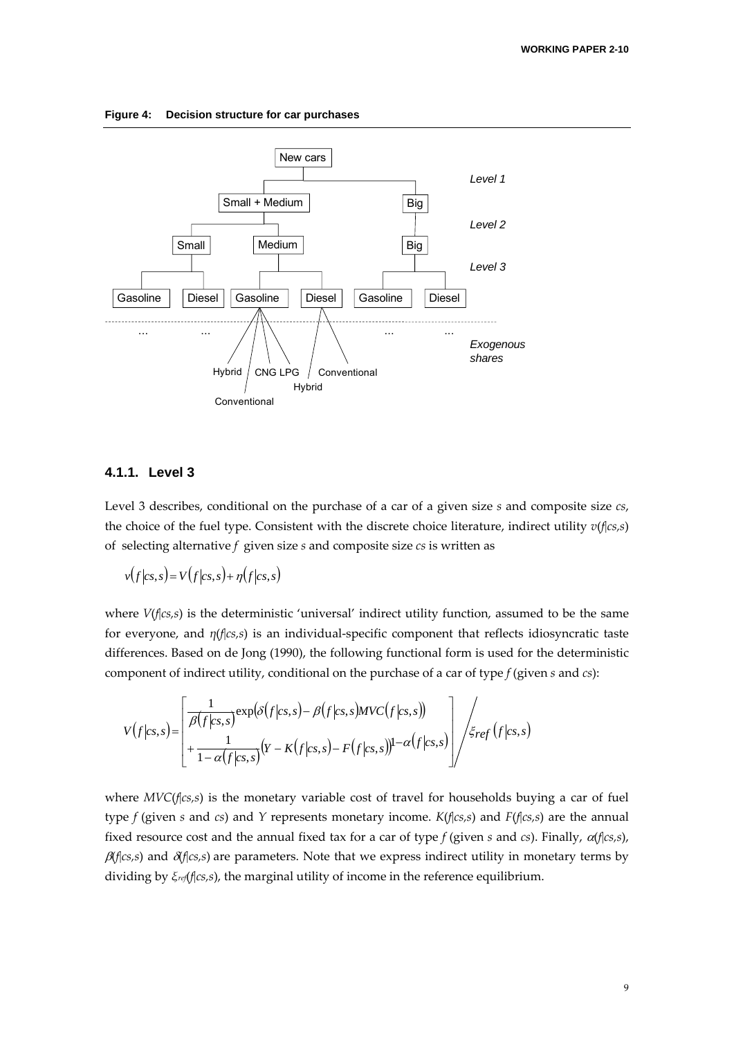

**Figure 4: Decision structure for car purchases** 

#### **4.1.1. Level 3**

Level 3 describes, conditional on the purchase of a car of a given size *s* and composite size *cs*, the choice of the fuel type. Consistent with the discrete choice literature, indirect utility *v*(*f*|*cs,s*) of selecting alternative *f* given size *s* and composite size *cs* is written as

$$
v(f|_{CS,S}) = V(f|_{CS,S}) + \eta(f|_{CS,S})
$$

where *V*(*f*|*cs,s*) is the deterministic 'universal' indirect utility function, assumed to be the same for everyone, and *η*(*f*|*cs,s*) is an individual‐specific component that reflects idiosyncratic taste differences. Based on de Jong (1990), the following functional form is used for the deterministic component of indirect utility, conditional on the purchase of a car of type *f* (given *s* and *cs*):

$$
V(f|_{CS,S}) = \left[\frac{\frac{1}{\beta(f|_{CS,S})} \exp(\delta(f|_{CS,S}) - \beta(f|_{CS,S})MVC(f|_{CS,S}))}{\frac{1}{1-\alpha(f|_{CS,S})} (Y - K(f|_{CS,S}) - F(f|_{CS,S}))^{1-\alpha(f|_{CS,S})}}\right] / \xi_{ref}(f|_{CS,S})
$$

where *MVC*(*f*|*cs,s*) is the monetary variable cost of travel for households buying a car of fuel type *f* (given *s* and *cs*) and *Y* represents monetary income. *K*(*f*|*cs,s*) and *F*(*f*|*cs,s*) are the annual fixed resource cost and the annual fixed tax for a car of type *f* (given *s* and *cs*). Finally, <sup>α</sup>(*f*|*cs,s*),  $\beta$ (*f*|*cs*,*s*) and  $\delta$ (*f*|*cs*,*s*) are parameters. Note that we express indirect utility in monetary terms by dividing by *ξref*(*f*|*cs,s*), the marginal utility of income in the reference equilibrium.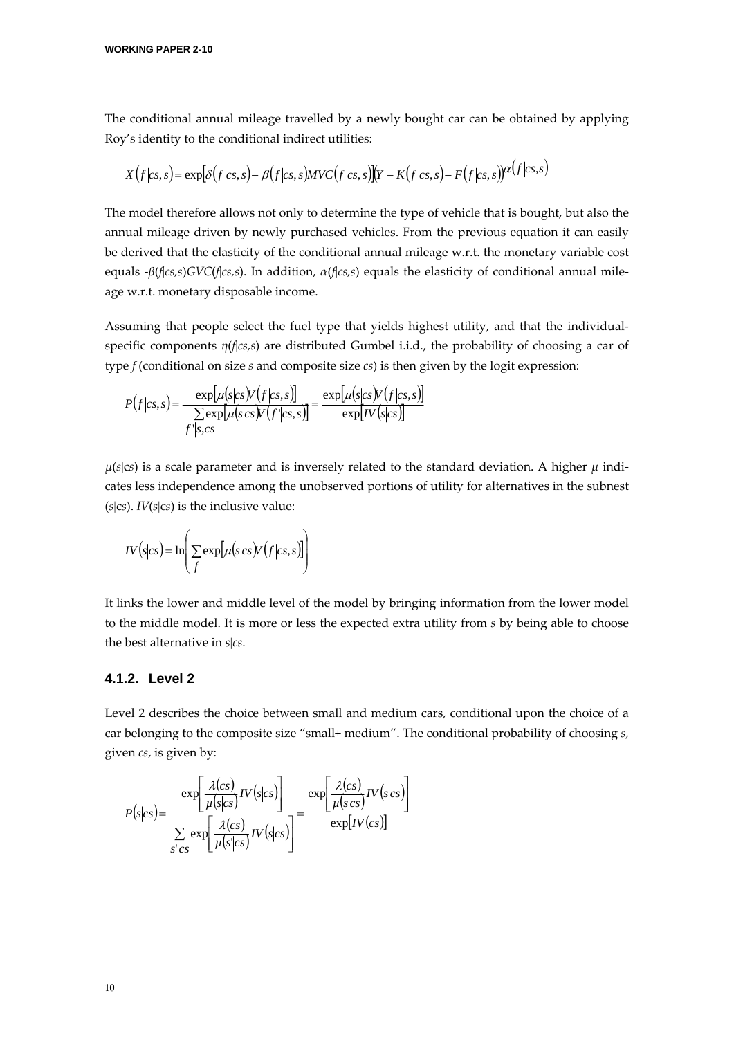The conditional annual mileage travelled by a newly bought car can be obtained by applying Roy's identity to the conditional indirect utilities:

$$
X(f|cs,s) = \exp[\delta(f|cs,s) - \beta(f|cs,s)MVC(f|cs,s)](Y - K(f|cs,s) - F(f|cs,s))\alpha(f|cs,s)
$$

The model therefore allows not only to determine the type of vehicle that is bought, but also the annual mileage driven by newly purchased vehicles. From the previous equation it can easily be derived that the elasticity of the conditional annual mileage w.r.t. the monetary variable cost equals ‐*β*(*f*|*cs,s*)*GVC*(*f*|*cs,s*). In addition, *α*(*f*|*cs,s*) equals the elasticity of conditional annual mile‐ age w.r.t. monetary disposable income.

Assuming that people select the fuel type that yields highest utility, and that the individual‐ specific components *η*(*f*|*cs,s*) are distributed Gumbel i.i.d., the probability of choosing a car of type *f* (conditional on size *s* and composite size *cs*) is then given by the logit expression:

$$
P(f|cs,s) = \frac{\exp[\mu(s|cs)V(f|cs,s)]}{\sum_{f'|s,cs} \exp[\mu(s|cs)V(f|cs,s)]} = \frac{\exp[\mu(s|cs)V(f|cs,s)]}{\exp[N(s|cs)]}
$$

 $μ(s|c<sub>S</sub>)$  is a scale parameter and is inversely related to the standard deviation. A higher *μ* indicates less independence among the unobserved portions of utility for alternatives in the subnest  $(s|cs)$ . *IV* $(s|cs)$  is the inclusive value:

$$
IV(s|cs) = \ln\left(\sum_{f} \exp[\mu(s|cs)V(f|cs,s)]\right)
$$

It links the lower and middle level of the model by bringing information from the lower model to the middle model. It is more or less the expected extra utility from *s* by being able to choose the best alternative in *s*|*cs*.

#### **4.1.2. Level 2**

Level 2 describes the choice between small and medium cars, conditional upon the choice of a car belonging to the composite size "small+ medium". The conditional probability of choosing *s*, given *cs*, is given by:

$$
P(s|cs) = \frac{\exp\left[\frac{\lambda(cs)}{\mu(s|cs)}IV(s|cs)\right]}{\sum_{S'|cs} \exp\left[\frac{\lambda(cs)}{\mu(s|cs)}IV(s|cs)\right]} = \frac{\exp\left[\frac{\lambda(cs)}{\mu(s|cs)}IV(s|cs)\right]}{\exp[IV(cs)]}
$$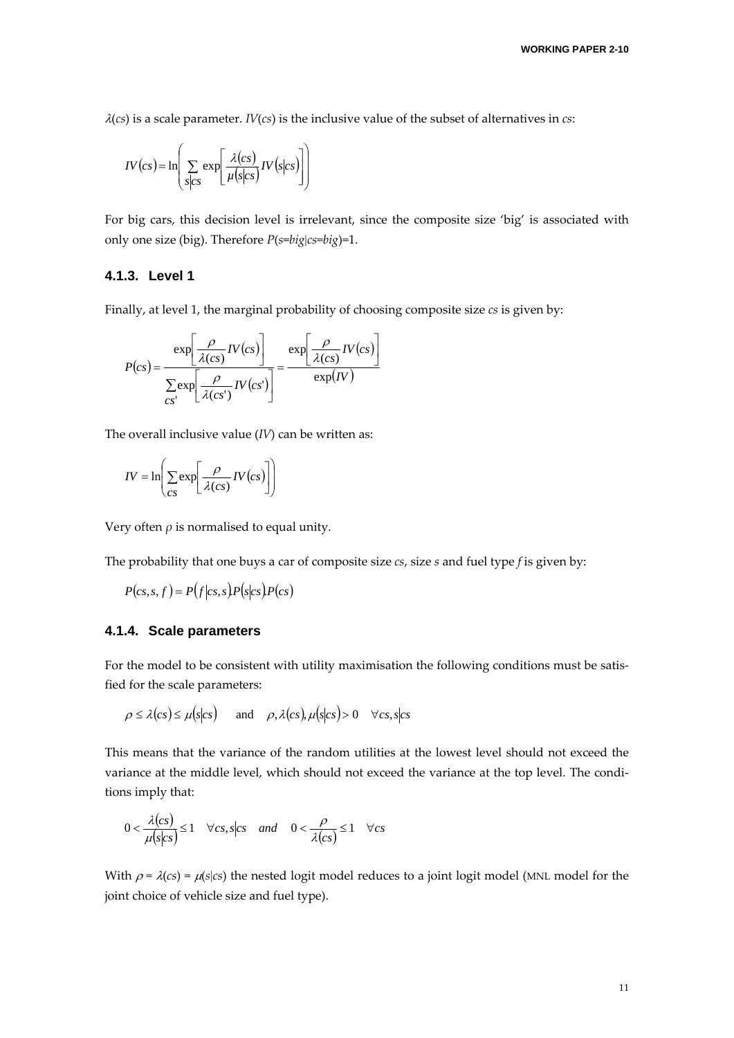$\lambda$ (*cs*) is a scale parameter. *IV*(*cs*) is the inclusive value of the subset of alternatives in *cs*:

$$
IV\left(cs\right) = \ln\left(\sum_{s\mid cs} \exp\left[\frac{\lambda (cs)}{\mu (s|cs)} IV(s|cs)\right]\right)
$$

For big cars, this decision level is irrelevant, since the composite size 'big' is associated with only one size (big). Therefore *P*(*s*=*big*|*cs*=*big*)=1.

#### **4.1.3. Level 1**

Finally, at level 1, the marginal probability of choosing composite size *cs* is given by:

$$
P(cs) = \frac{\exp\left[\frac{\rho}{\lambda(cs)}IV(cs)\right]}{\sum_{cs'}\exp\left[\frac{\rho}{\lambda(cs')}IV(cs')\right]} = \frac{\exp\left[\frac{\rho}{\lambda(cs)}IV(cs)\right]}{\exp(IV)}
$$

The overall inclusive value (*IV*) can be written as:

$$
IV = \ln\left(\sum_{CS} \exp\left[\frac{\rho}{\lambda(cs)}IV(cs)\right]\right)
$$

Very often  $\rho$  is normalised to equal unity.

The probability that one buys a car of composite size *cs*, size *s* and fuel type *f* is given by:

$$
P(c s, s, f) = P(f|c s, s) P(s|c s) P(c s)
$$

#### **4.1.4. Scale parameters**

For the model to be consistent with utility maximisation the following conditions must be satisfied for the scale parameters:

$$
\rho \le \lambda (cs) \le \mu (s|cs) \quad \text{and} \quad \rho, \lambda (cs), \mu (s|cs) > 0 \quad \forall cs, s|cs
$$

This means that the variance of the random utilities at the lowest level should not exceed the variance at the middle level, which should not exceed the variance at the top level. The conditions imply that:

$$
0 < \frac{\lambda(c s)}{\mu(s|c s)} \le 1 \quad \forall c s, s|c s \quad \text{and} \quad 0 < \frac{\rho}{\lambda(c s)} \le 1 \quad \forall c s
$$

With  $\rho = \lambda(cs) = \mu(s|cs)$  the nested logit model reduces to a joint logit model (MNL model for the joint choice of vehicle size and fuel type).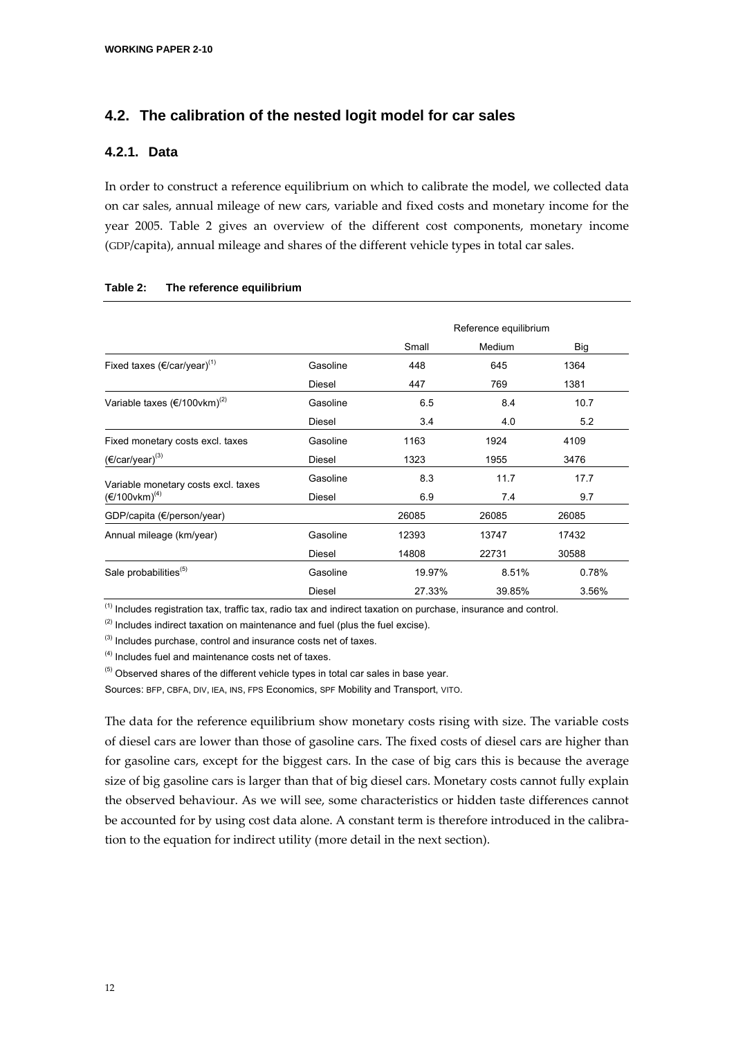### **4.2. The calibration of the nested logit model for car sales**

#### **4.2.1. Data**

In order to construct a reference equilibrium on which to calibrate the model, we collected data on car sales, annual mileage of new cars, variable and fixed costs and monetary income for the year 2005. Table 2 gives an overview of the different cost components, monetary income (GDP/capita), annual mileage and shares of the different vehicle types in total car sales.

|                                                   |          |        | Reference equilibrium |       |
|---------------------------------------------------|----------|--------|-----------------------|-------|
|                                                   |          | Small  | Medium                | Big   |
| Fixed taxes $(\epsilon$ /car/year) <sup>(1)</sup> | Gasoline | 448    | 645                   | 1364  |
|                                                   | Diesel   | 447    | 769                   | 1381  |
| Variable taxes $(\epsilon/100$ vkm $)^{(2)}$      | Gasoline | 6.5    | 8.4                   | 10.7  |
|                                                   | Diesel   | 3.4    | 4.0                   | 5.2   |
| Fixed monetary costs excl. taxes                  | Gasoline | 1163   | 1924                  | 4109  |
| $(€/car/year)^{(3)}$                              | Diesel   | 1323   | 1955                  | 3476  |
| Variable monetary costs excl. taxes               | Gasoline | 8.3    | 11.7                  | 17.7  |
| $(E/100$ vkm $)^{(4)}$                            | Diesel   | 6.9    | 7.4                   | 9.7   |
| GDP/capita (€/person/year)                        |          | 26085  | 26085                 | 26085 |
| Annual mileage (km/year)                          | Gasoline | 12393  | 13747                 | 17432 |
|                                                   | Diesel   | 14808  | 22731                 | 30588 |
| Sale probabilities <sup>(5)</sup>                 | Gasoline | 19.97% | 8.51%                 | 0.78% |
|                                                   | Diesel   | 27.33% | 39.85%                | 3.56% |

#### **Table 2: The reference equilibrium**

 $<sup>(1)</sup>$  Includes registration tax, traffic tax, radio tax and indirect taxation on purchase, insurance and control.</sup>

 $(2)$  Includes indirect taxation on maintenance and fuel (plus the fuel excise).

(3) Includes purchase, control and insurance costs net of taxes.

(4) Includes fuel and maintenance costs net of taxes.

 $<sup>(5)</sup>$  Observed shares of the different vehicle types in total car sales in base year.</sup>

Sources: BFP, CBFA, DIV, IEA, INS, FPS Economics, SPF Mobility and Transport, VITO.

The data for the reference equilibrium show monetary costs rising with size. The variable costs of diesel cars are lower than those of gasoline cars. The fixed costs of diesel cars are higher than for gasoline cars, except for the biggest cars. In the case of big cars this is because the average size of big gasoline cars is larger than that of big diesel cars. Monetary costs cannot fully explain the observed behaviour. As we will see, some characteristics or hidden taste differences cannot be accounted for by using cost data alone. A constant term is therefore introduced in the calibration to the equation for indirect utility (more detail in the next section).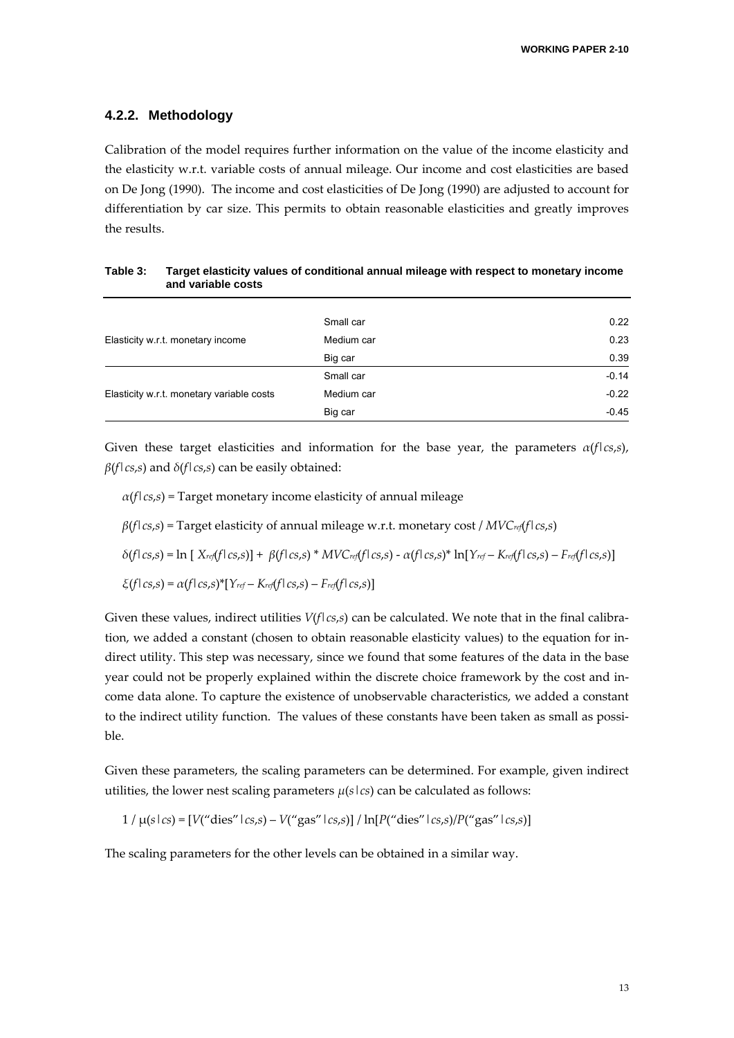#### **4.2.2. Methodology**

Calibration of the model requires further information on the value of the income elasticity and the elasticity w.r.t. variable costs of annual mileage. Our income and cost elasticities are based on De Jong (1990). The income and cost elasticities of De Jong (1990) are adjusted to account for differentiation by car size. This permits to obtain reasonable elasticities and greatly improves the results.

|                                           | Small car  | 0.22    |
|-------------------------------------------|------------|---------|
| Elasticity w.r.t. monetary income         | Medium car | 0.23    |
|                                           | Big car    | 0.39    |
|                                           | Small car  | $-0.14$ |
| Elasticity w.r.t. monetary variable costs | Medium car | $-0.22$ |
|                                           | Big car    | $-0.45$ |

**Table 3: Target elasticity values of conditional annual mileage with respect to monetary income and variable costs** 

Given these target elasticities and information for the base year, the parameters  $\alpha(f|cs,s)$ , *β*(*f*|*cs*,*s*) and *δ*(*f*|*cs*,*s*) can be easily obtained:

 $\alpha(f|c s,s)$  = Target monetary income elasticity of annual mileage

*β*(*f*|*cs*,*s*) = Target elasticity of annual mileage w.r.t. monetary cost / *MVCref*(*f*|*cs*,*s*)

$$
\delta(f \mid cs,s) = \ln \left[ \left( X_{ref}(f \mid cs,s) \right) + \beta(f \mid cs,s) * MVC_{ref}(f \mid cs,s) - \alpha(f \mid cs,s) * \ln \left[ Y_{ref} - K_{ref}(f \mid cs,s) - F_{ref}(f \mid cs,s) \right] \right]
$$

$$
\xi(f \mid cs,s) = \alpha(f \mid cs,s)^{*} [Y_{ref} - K_{ref}(f \mid cs,s) - F_{ref}(f \mid cs,s)]
$$

Given these values, indirect utilities  $V(f|cs,s)$  can be calculated. We note that in the final calibration, we added a constant (chosen to obtain reasonable elasticity values) to the equation for in‐ direct utility. This step was necessary, since we found that some features of the data in the base year could not be properly explained within the discrete choice framework by the cost and in‐ come data alone. To capture the existence of unobservable characteristics, we added a constant to the indirect utility function. The values of these constants have been taken as small as possible.

Given these parameters, the scaling parameters can be determined. For example, given indirect utilities, the lower nest scaling parameters  $\mu(s \mid cs)$  can be calculated as follows:

$$
1 / \mu(s \mid cs) = [V("dies" \mid cs,s) - V("gas" \mid cs,s)] / \ln[P("dies" \mid cs,s)] / P("gas" \mid cs,s)]
$$

The scaling parameters for the other levels can be obtained in a similar way.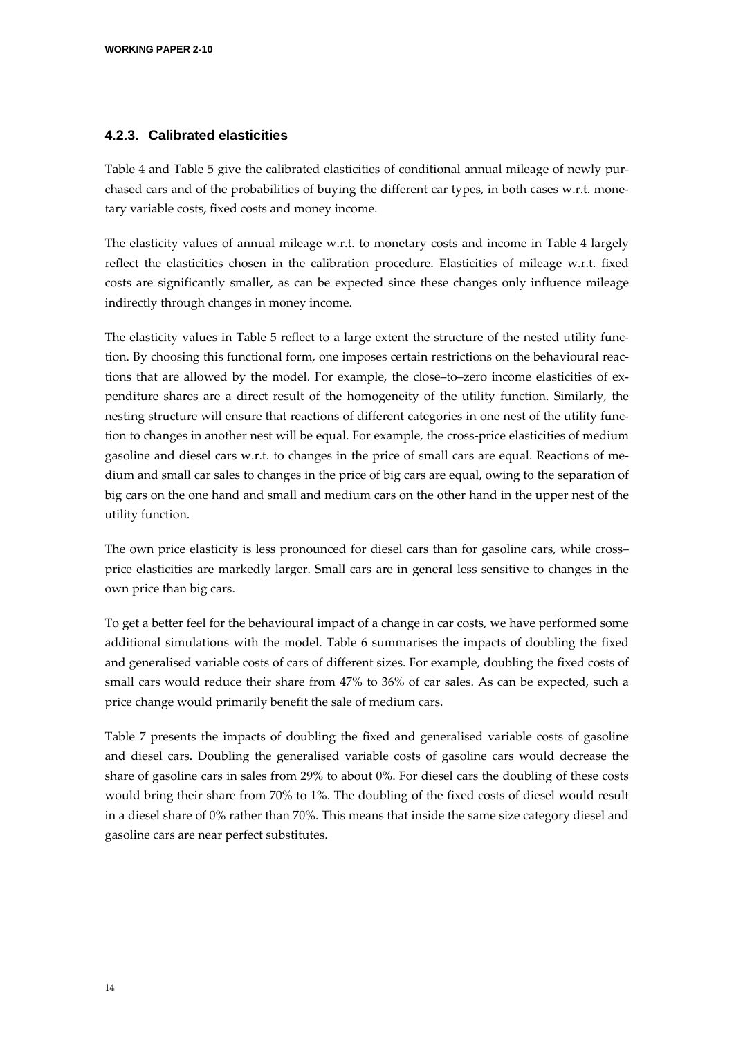#### **4.2.3. Calibrated elasticities**

Table 4 and Table 5 give the calibrated elasticities of conditional annual mileage of newly pur‐ chased cars and of the probabilities of buying the different car types, in both cases w.r.t. monetary variable costs, fixed costs and money income.

The elasticity values of annual mileage w.r.t. to monetary costs and income in Table 4 largely reflect the elasticities chosen in the calibration procedure. Elasticities of mileage w.r.t. fixed costs are significantly smaller, as can be expected since these changes only influence mileage indirectly through changes in money income.

The elasticity values in Table 5 reflect to a large extent the structure of the nested utility function. By choosing this functional form, one imposes certain restrictions on the behavioural reactions that are allowed by the model. For example, the close–to–zero income elasticities of ex‐ penditure shares are a direct result of the homogeneity of the utility function. Similarly, the nesting structure will ensure that reactions of different categories in one nest of the utility function to changes in another nest will be equal. For example, the cross‐price elasticities of medium gasoline and diesel cars w.r.t. to changes in the price of small cars are equal. Reactions of me‐ dium and small car sales to changes in the price of big cars are equal, owing to the separation of big cars on the one hand and small and medium cars on the other hand in the upper nest of the utility function.

The own price elasticity is less pronounced for diesel cars than for gasoline cars, while cross– price elasticities are markedly larger. Small cars are in general less sensitive to changes in the own price than big cars.

To get a better feel for the behavioural impact of a change in car costs, we have performed some additional simulations with the model. Table 6 summarises the impacts of doubling the fixed and generalised variable costs of cars of different sizes. For example, doubling the fixed costs of small cars would reduce their share from 47% to 36% of car sales. As can be expected, such a price change would primarily benefit the sale of medium cars.

Table 7 presents the impacts of doubling the fixed and generalised variable costs of gasoline and diesel cars. Doubling the generalised variable costs of gasoline cars would decrease the share of gasoline cars in sales from 29% to about 0%. For diesel cars the doubling of these costs would bring their share from 70% to 1%. The doubling of the fixed costs of diesel would result in a diesel share of 0% rather than 70%. This means that inside the same size category diesel and gasoline cars are near perfect substitutes.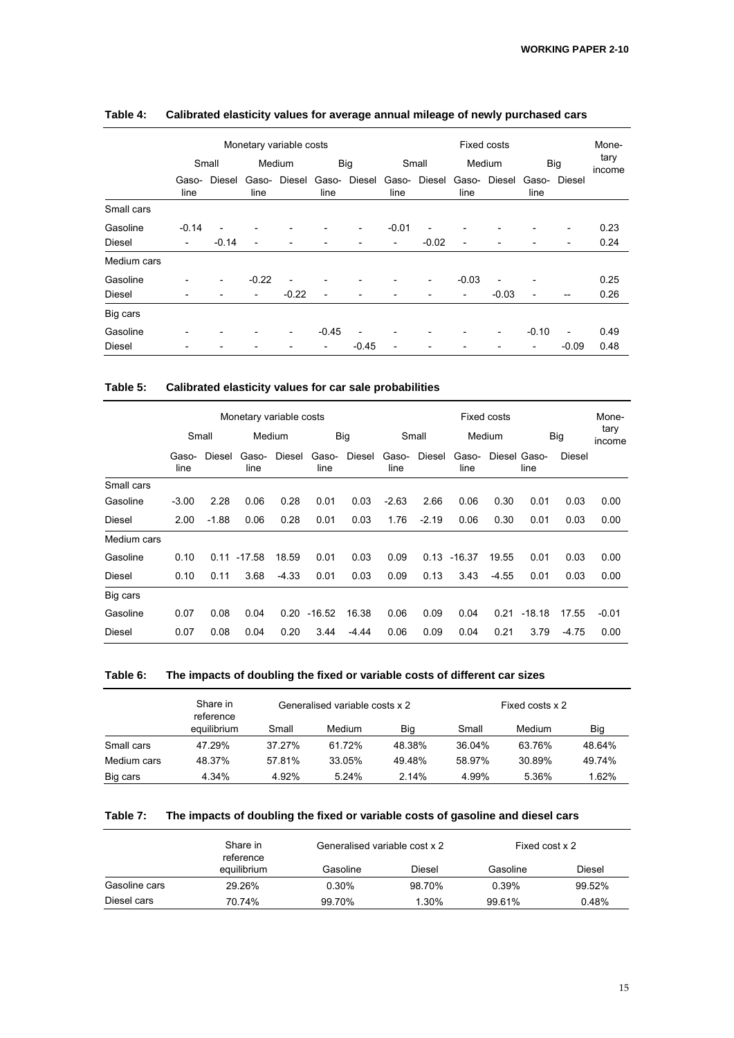|               | Monetary variable costs |                          |                          |                          |               |                          | <b>Fixed costs</b>       |                          |                          |         |               | Mone-                    |                |
|---------------|-------------------------|--------------------------|--------------------------|--------------------------|---------------|--------------------------|--------------------------|--------------------------|--------------------------|---------|---------------|--------------------------|----------------|
|               |                         | Small                    |                          | Medium                   |               | Big                      |                          | Small                    |                          | Medium  |               | Big                      | tary<br>income |
|               | Gaso-<br>line           | Diesel                   | Gaso-<br>line            | Diesel                   | Gaso-<br>line | Diesel                   | Gaso-<br>line            | Diesel                   | Gaso-<br>line            | Diesel  | Gaso-<br>line | Diesel                   |                |
| Small cars    |                         |                          |                          |                          |               |                          |                          |                          |                          |         |               |                          |                |
| Gasoline      | $-0.14$                 |                          |                          |                          |               | $\overline{\phantom{a}}$ | $-0.01$                  |                          |                          |         |               |                          | 0.23           |
| <b>Diesel</b> | -                       | $-0.14$                  |                          |                          |               |                          | $\overline{\phantom{a}}$ | $-0.02$                  | ۰                        |         |               |                          | 0.24           |
| Medium cars   |                         |                          |                          |                          |               |                          |                          |                          |                          |         |               |                          |                |
| Gasoline      |                         | $\overline{\phantom{a}}$ | $-0.22$                  |                          |               |                          |                          | $\overline{\phantom{a}}$ | $-0.03$                  |         |               |                          | 0.25           |
| <b>Diesel</b> |                         |                          | $\overline{\phantom{0}}$ | $-0.22$                  |               |                          |                          |                          | $\overline{\phantom{a}}$ | $-0.03$ |               |                          | 0.26           |
| Big cars      |                         |                          |                          |                          |               |                          |                          |                          |                          |         |               |                          |                |
| Gasoline      |                         |                          |                          | $\overline{\phantom{0}}$ | $-0.45$       |                          | $\overline{a}$           | $\overline{\phantom{a}}$ |                          | -       | $-0.10$       | $\overline{\phantom{a}}$ | 0.49           |
| <b>Diesel</b> |                         |                          |                          |                          | -             | $-0.45$                  | -                        | $\overline{a}$           |                          |         | -             | $-0.09$                  | 0.48           |

#### **Table 4: Calibrated elasticity values for average annual mileage of newly purchased cars**

#### **Table 5: Calibrated elasticity values for car sale probabilities**

|               | Monetary variable costs |         |               |         |               |         | Fixed costs   |         |               |         |                      | Mone-   |                |
|---------------|-------------------------|---------|---------------|---------|---------------|---------|---------------|---------|---------------|---------|----------------------|---------|----------------|
|               |                         | Small   |               | Medium  |               | Big     |               | Small   |               | Medium  |                      | Big     | tary<br>income |
|               | Gaso-<br>line           | Diesel  | Gaso-<br>line | Diesel  | Gaso-<br>line | Diesel  | Gaso-<br>line | Diesel  | Gaso-<br>line |         | Diesel Gaso-<br>line | Diesel  |                |
| Small cars    |                         |         |               |         |               |         |               |         |               |         |                      |         |                |
| Gasoline      | $-3.00$                 | 2.28    | 0.06          | 0.28    | 0.01          | 0.03    | $-2.63$       | 2.66    | 0.06          | 0.30    | 0.01                 | 0.03    | 0.00           |
| <b>Diesel</b> | 2.00                    | $-1.88$ | 0.06          | 0.28    | 0.01          | 0.03    | 1.76          | $-2.19$ | 0.06          | 0.30    | 0.01                 | 0.03    | 0.00           |
| Medium cars   |                         |         |               |         |               |         |               |         |               |         |                      |         |                |
| Gasoline      | 0.10                    | 0.11    | $-17.58$      | 18.59   | 0.01          | 0.03    | 0.09          | 0.13    | -16.37        | 19.55   | 0.01                 | 0.03    | 0.00           |
| Diesel        | 0.10                    | 0.11    | 3.68          | $-4.33$ | 0.01          | 0.03    | 0.09          | 0.13    | 3.43          | $-4.55$ | 0.01                 | 0.03    | 0.00           |
| Big cars      |                         |         |               |         |               |         |               |         |               |         |                      |         |                |
| Gasoline      | 0.07                    | 0.08    | 0.04          | 0.20    | $-16.52$      | 16.38   | 0.06          | 0.09    | 0.04          | 0.21    | $-18.18$             | 17.55   | $-0.01$        |
| <b>Diesel</b> | 0.07                    | 0.08    | 0.04          | 0.20    | 3.44          | $-4.44$ | 0.06          | 0.09    | 0.04          | 0.21    | 3.79                 | $-4.75$ | 0.00           |

#### **Table 6: The impacts of doubling the fixed or variable costs of different car sizes**

|             | Share in<br>reference |        | Generalised variable costs x 2 |        | Fixed costs x 2 |        |        |  |
|-------------|-----------------------|--------|--------------------------------|--------|-----------------|--------|--------|--|
|             | equilibrium           | Small  | Medium                         | Big    | Small           | Medium | Big    |  |
| Small cars  | 47.29%                | 37.27% | 61.72%                         | 48.38% | 36.04%          | 63.76% | 48.64% |  |
| Medium cars | 48.37%                | 57.81% | 33.05%                         | 49.48% | 58.97%          | 30.89% | 49.74% |  |
| Big cars    | 4.34%                 | 4.92%  | 5.24%                          | 2.14%  | 4.99%           | 5.36%  | 1.62%  |  |

#### **Table 7: The impacts of doubling the fixed or variable costs of gasoline and diesel cars**

|               | Share in<br>reference | Generalised variable cost x 2 |        | Fixed cost x 2 |        |  |
|---------------|-----------------------|-------------------------------|--------|----------------|--------|--|
|               | equilibrium           | Gasoline                      | Diesel | Gasoline       | Diesel |  |
| Gasoline cars | 29.26%                | 0.30%                         | 98.70% | 0.39%          | 99.52% |  |
| Diesel cars   | 70.74%                | 99.70%                        | 1.30%  | 99.61%         | 0.48%  |  |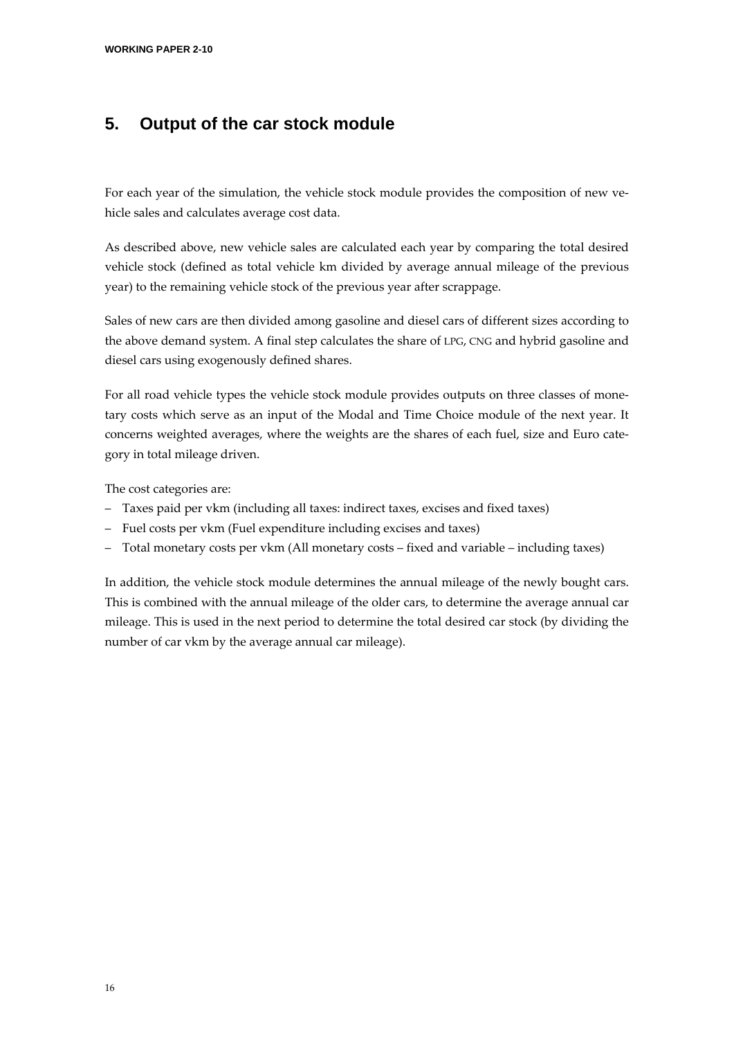### **5. Output of the car stock module**

For each year of the simulation, the vehicle stock module provides the composition of new vehicle sales and calculates average cost data.

As described above, new vehicle sales are calculated each year by comparing the total desired vehicle stock (defined as total vehicle km divided by average annual mileage of the previous year) to the remaining vehicle stock of the previous year after scrappage.

Sales of new cars are then divided among gasoline and diesel cars of different sizes according to the above demand system. A final step calculates the share of LPG, CNG and hybrid gasoline and diesel cars using exogenously defined shares.

For all road vehicle types the vehicle stock module provides outputs on three classes of monetary costs which serve as an input of the Modal and Time Choice module of the next year. It concerns weighted averages, where the weights are the shares of each fuel, size and Euro category in total mileage driven.

The cost categories are:

- Taxes paid per vkm (including all taxes: indirect taxes, excises and fixed taxes)
- Fuel costs per vkm (Fuel expenditure including excises and taxes)
- Total monetary costs per vkm (All monetary costs fixed and variable including taxes)

In addition, the vehicle stock module determines the annual mileage of the newly bought cars. This is combined with the annual mileage of the older cars, to determine the average annual car mileage. This is used in the next period to determine the total desired car stock (by dividing the number of car vkm by the average annual car mileage).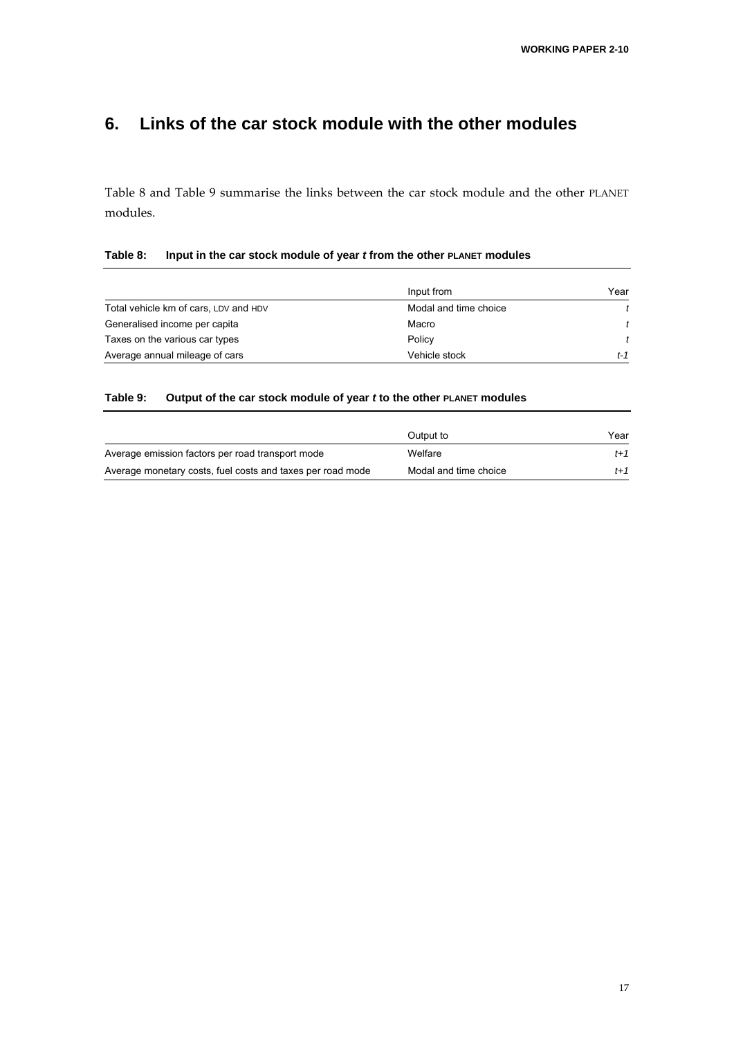### **6. Links of the car stock module with the other modules**

Table 8 and Table 9 summarise the links between the car stock module and the other PLANET modules.

#### **Table 8: Input in the car stock module of year** *t* **from the other PLANET modules**

|                                       | Input from            | Year |
|---------------------------------------|-----------------------|------|
| Total vehicle km of cars, LDV and HDV | Modal and time choice |      |
| Generalised income per capita         | Macro                 |      |
| Taxes on the various car types        | Policy                |      |
| Average annual mileage of cars        | Vehicle stock         | t-1  |

#### **Table 9: Output of the car stock module of year** *t* **to the other PLANET modules**

|                                                            | Output to             | Year  |
|------------------------------------------------------------|-----------------------|-------|
| Average emission factors per road transport mode           | Welfare               | $t+1$ |
| Average monetary costs, fuel costs and taxes per road mode | Modal and time choice | $t+1$ |